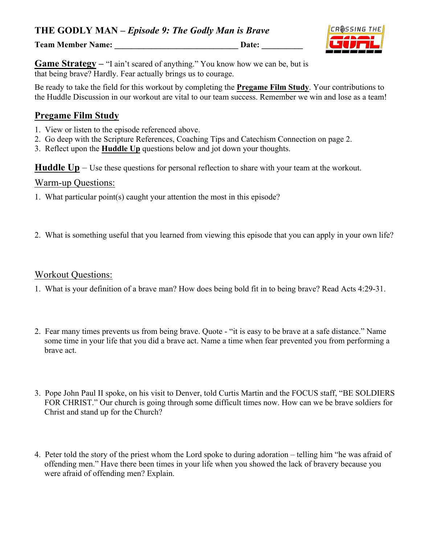**Team Member Name: \_\_\_\_\_\_\_\_\_\_\_\_\_\_\_\_\_\_\_\_\_\_\_\_\_\_\_\_\_\_ Date: \_\_\_\_\_\_\_\_\_\_**



**Game Strategy – "I ain't scared of anything." You know how we can be, but is** that being brave? Hardly. Fear actually brings us to courage.

Be ready to take the field for this workout by completing the **Pregame Film Study**. Your contributions to the Huddle Discussion in our workout are vital to our team success. Remember we win and lose as a team!

#### **Pregame Film Study**

- 1. View or listen to the episode referenced above.
- 2. Go deep with the Scripture References, Coaching Tips and Catechism Connection on page 2.
- 3. Reflect upon the **Huddle Up** questions below and jot down your thoughts.

**Huddle Up** – Use these questions for personal reflection to share with your team at the workout.

# Warm-up Questions:

- 1. What particular point(s) caught your attention the most in this episode?
- 2. What is something useful that you learned from viewing this episode that you can apply in your own life?

#### Workout Questions:

- 1. What is your definition of a brave man? How does being bold fit in to being brave? Read Acts 4:29-31.
- 2. Fear many times prevents us from being brave. Quote "it is easy to be brave at a safe distance." Name some time in your life that you did a brave act. Name a time when fear prevented you from performing a brave act.
- 3. Pope John Paul II spoke, on his visit to Denver, told Curtis Martin and the FOCUS staff, "BE SOLDIERS FOR CHRIST." Our church is going through some difficult times now. How can we be brave soldiers for Christ and stand up for the Church?
- 4. Peter told the story of the priest whom the Lord spoke to during adoration telling him "he was afraid of offending men." Have there been times in your life when you showed the lack of bravery because you were afraid of offending men? Explain.